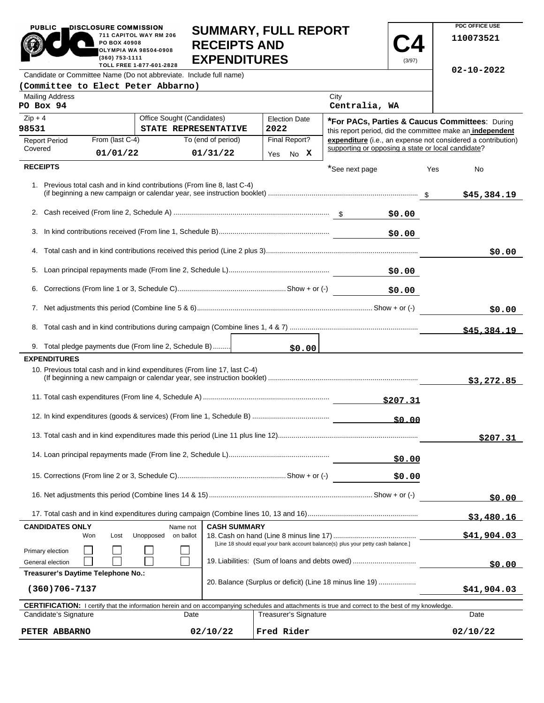| PO BOX 40908<br><b>RECEIPTS AND</b><br>$\blacksquare$<br>$\mathbf{Z}$<br><b>OLYMPIA WA 98504-0908</b><br><b>EXPENDITURES</b><br>(360) 753-1111<br>(3/97)<br>TOLL FREE 1-877-601-2828    |          |                                                                                                                                                            |                                             |                              |                                                |  |                                                                                                                           |             |     |             |
|-----------------------------------------------------------------------------------------------------------------------------------------------------------------------------------------|----------|------------------------------------------------------------------------------------------------------------------------------------------------------------|---------------------------------------------|------------------------------|------------------------------------------------|--|---------------------------------------------------------------------------------------------------------------------------|-------------|-----|-------------|
| $02 - 10 - 2022$<br>Candidate or Committee Name (Do not abbreviate. Include full name)                                                                                                  |          |                                                                                                                                                            |                                             |                              |                                                |  |                                                                                                                           |             |     |             |
|                                                                                                                                                                                         |          | (Committee to Elect Peter Abbarno)                                                                                                                         |                                             |                              |                                                |  |                                                                                                                           |             |     |             |
| <b>Mailing Address</b><br>PO Box 94                                                                                                                                                     |          |                                                                                                                                                            |                                             |                              |                                                |  | City<br>Centralia, WA                                                                                                     |             |     |             |
| $Zip + 4$<br>Office Sought (Candidates)<br><b>Election Date</b>                                                                                                                         |          |                                                                                                                                                            |                                             |                              | *For PACs, Parties & Caucus Committees: During |  |                                                                                                                           |             |     |             |
| 98531<br>STATE REPRESENTATIVE<br>From (last C-4)                                                                                                                                        |          |                                                                                                                                                            | 2022<br>To (end of period)<br>Final Report? |                              |                                                |  | this report period, did the committee make an independent<br>expenditure (i.e., an expense not considered a contribution) |             |     |             |
| <b>Report Period</b><br>Covered                                                                                                                                                         | 01/01/22 |                                                                                                                                                            | 01/31/22                                    |                              | Yes No X                                       |  | supporting or opposing a state or local candidate?                                                                        |             |     |             |
| <b>RECEIPTS</b>                                                                                                                                                                         |          |                                                                                                                                                            |                                             |                              |                                                |  | *See next page                                                                                                            |             | Yes | No          |
|                                                                                                                                                                                         |          | 1. Previous total cash and in kind contributions (From line 8, last C-4)                                                                                   |                                             |                              |                                                |  |                                                                                                                           |             |     | \$45,384.19 |
|                                                                                                                                                                                         |          |                                                                                                                                                            |                                             |                              |                                                |  |                                                                                                                           | \$0.00      |     |             |
|                                                                                                                                                                                         |          |                                                                                                                                                            |                                             |                              |                                                |  |                                                                                                                           | \$0.00      |     |             |
|                                                                                                                                                                                         |          |                                                                                                                                                            |                                             |                              |                                                |  |                                                                                                                           |             |     | \$0.00      |
|                                                                                                                                                                                         |          |                                                                                                                                                            |                                             |                              |                                                |  |                                                                                                                           | \$0.00      |     |             |
| 6.                                                                                                                                                                                      |          |                                                                                                                                                            |                                             |                              |                                                |  |                                                                                                                           | \$0.00      |     |             |
|                                                                                                                                                                                         |          |                                                                                                                                                            |                                             |                              |                                                |  |                                                                                                                           | \$0.00      |     |             |
|                                                                                                                                                                                         |          |                                                                                                                                                            |                                             |                              |                                                |  |                                                                                                                           | \$45,384.19 |     |             |
|                                                                                                                                                                                         |          | 9. Total pledge payments due (From line 2, Schedule B)                                                                                                     |                                             |                              | \$0.00                                         |  |                                                                                                                           |             |     |             |
| <b>EXPENDITURES</b>                                                                                                                                                                     |          |                                                                                                                                                            |                                             |                              |                                                |  |                                                                                                                           |             |     |             |
|                                                                                                                                                                                         |          | 10. Previous total cash and in kind expenditures (From line 17, last C-4)                                                                                  |                                             |                              |                                                |  |                                                                                                                           |             |     | \$3,272.85  |
| \$207.31                                                                                                                                                                                |          |                                                                                                                                                            |                                             |                              |                                                |  |                                                                                                                           |             |     |             |
| \$0.00                                                                                                                                                                                  |          |                                                                                                                                                            |                                             |                              |                                                |  |                                                                                                                           |             |     |             |
|                                                                                                                                                                                         |          |                                                                                                                                                            |                                             |                              |                                                |  |                                                                                                                           |             |     | \$207.31    |
| \$0.00                                                                                                                                                                                  |          |                                                                                                                                                            |                                             |                              |                                                |  |                                                                                                                           |             |     |             |
| \$0.00                                                                                                                                                                                  |          |                                                                                                                                                            |                                             |                              |                                                |  |                                                                                                                           |             |     |             |
|                                                                                                                                                                                         |          |                                                                                                                                                            |                                             |                              |                                                |  |                                                                                                                           |             |     | \$0.00      |
|                                                                                                                                                                                         |          |                                                                                                                                                            |                                             |                              |                                                |  |                                                                                                                           |             |     | \$3,480.16  |
| <b>CANDIDATES ONLY</b><br><b>CASH SUMMARY</b><br>Name not<br>on ballot<br>Won<br>Lost<br>Unopposed<br>[Line 18 should equal your bank account balance(s) plus your petty cash balance.] |          |                                                                                                                                                            |                                             |                              |                                                |  | \$41,904.03                                                                                                               |             |     |             |
| Primary election<br>19. Liabilities: (Sum of loans and debts owed)<br>General election                                                                                                  |          |                                                                                                                                                            |                                             |                              |                                                |  |                                                                                                                           | \$0.00      |     |             |
| Treasurer's Daytime Telephone No.:                                                                                                                                                      |          |                                                                                                                                                            |                                             |                              |                                                |  |                                                                                                                           |             |     |             |
| 20. Balance (Surplus or deficit) (Line 18 minus line 19)<br>$(360)706 - 7137$                                                                                                           |          |                                                                                                                                                            |                                             |                              |                                                |  |                                                                                                                           | \$41,904.03 |     |             |
|                                                                                                                                                                                         |          | <b>CERTIFICATION:</b> I certify that the information herein and on accompanying schedules and attachments is true and correct to the best of my knowledge. |                                             |                              |                                                |  |                                                                                                                           |             |     |             |
| Candidate's Signature                                                                                                                                                                   |          | Date                                                                                                                                                       |                                             | <b>Treasurer's Signature</b> |                                                |  |                                                                                                                           |             |     | Date        |

**SUMMARY, FULL REPORT** 

 $\overline{\phantom{a}}$ 

**PDC OFFICE USE** 

**110073521**

 $02/10/22$ 

PUBLIC **DISCLOSURE COMMISSION** 

**COMMON** 

711 CAPITOL WAY RM 206

**PETER ABBARNO 02/10/22 Fred Rider 02/10/22**